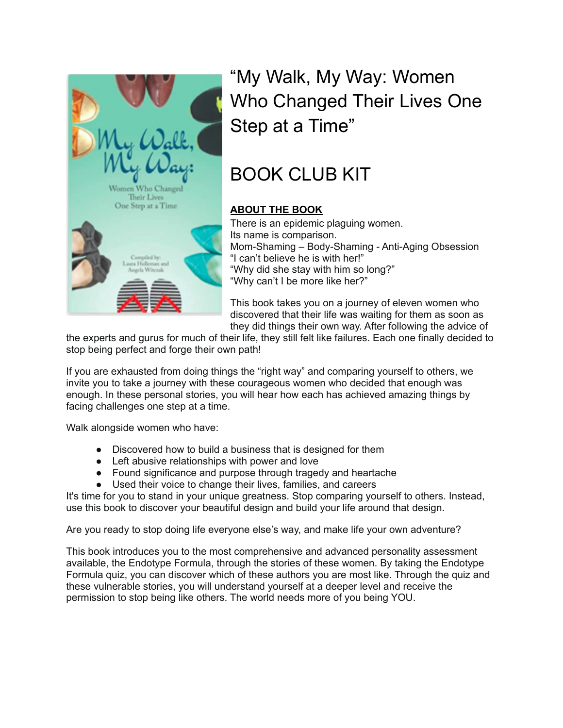

"My Walk, My Way: Women Who Changed Their Lives One Step at a Time"

# BOOK CLUB KIT

## **ABOUT THE BOOK**

There is an epidemic plaguing women. Its name is comparison. Mom-Shaming – Body-Shaming - Anti-Aging Obsession "I can't believe he is with her!" "Why did she stay with him so long?" "Why can't I be more like her?"

This book takes you on a journey of eleven women who discovered that their life was waiting for them as soon as they did things their own way. After following the advice of

the experts and gurus for much of their life, they still felt like failures. Each one finally decided to stop being perfect and forge their own path!

If you are exhausted from doing things the "right way" and comparing yourself to others, we invite you to take a journey with these courageous women who decided that enough was enough. In these personal stories, you will hear how each has achieved amazing things by facing challenges one step at a time.

Walk alongside women who have:

- Discovered how to build a business that is designed for them
- Left abusive relationships with power and love
- Found significance and purpose through tragedy and heartache
- Used their voice to change their lives, families, and careers

It's time for you to stand in your unique greatness. Stop comparing yourself to others. Instead, use this book to discover your beautiful design and build your life around that design.

Are you ready to stop doing life everyone else's way, and make life your own adventure?

This book introduces you to the most comprehensive and advanced personality assessment available, the Endotype Formula, through the stories of these women. By taking the Endotype Formula quiz, you can discover which of these authors you are most like. Through the quiz and these vulnerable stories, you will understand yourself at a deeper level and receive the permission to stop being like others. The world needs more of you being YOU.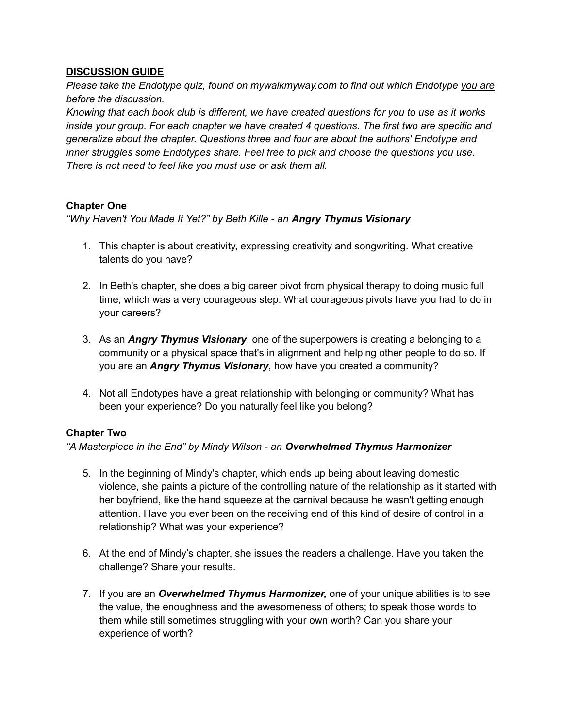## **DISCUSSION GUIDE**

*Please take the Endotype quiz, found on mywalkmyway.com to find out which Endotype you are before the discussion.*

*Knowing that each book club is different, we have created questions for you to use as it works inside your group. For each chapter we have created 4 questions. The first two are specific and generalize about the chapter. Questions three and four are about the authors' Endotype and inner struggles some Endotypes share. Feel free to pick and choose the questions you use. There is not need to feel like you must use or ask them all.*

## **Chapter One**

*"Why Haven't You Made It Yet?" by Beth Kille - an Angry Thymus Visionary*

- 1. This chapter is about creativity, expressing creativity and songwriting. What creative talents do you have?
- 2. In Beth's chapter, she does a big career pivot from physical therapy to doing music full time, which was a very courageous step. What courageous pivots have you had to do in your careers?
- 3. As an *Angry Thymus Visionary*, one of the superpowers is creating a belonging to a community or a physical space that's in alignment and helping other people to do so. If you are an *Angry Thymus Visionary*, how have you created a community?
- 4. Not all Endotypes have a great relationship with belonging or community? What has been your experience? Do you naturally feel like you belong?

## **Chapter Two**

*"A Masterpiece in the End" by Mindy Wilson - an Overwhelmed Thymus Harmonizer*

- 5. In the beginning of Mindy's chapter, which ends up being about leaving domestic violence, she paints a picture of the controlling nature of the relationship as it started with her boyfriend, like the hand squeeze at the carnival because he wasn't getting enough attention. Have you ever been on the receiving end of this kind of desire of control in a relationship? What was your experience?
- 6. At the end of Mindy's chapter, she issues the readers a challenge. Have you taken the challenge? Share your results.
- 7. If you are an *Overwhelmed Thymus Harmonizer,* one of your unique abilities is to see the value, the enoughness and the awesomeness of others; to speak those words to them while still sometimes struggling with your own worth? Can you share your experience of worth?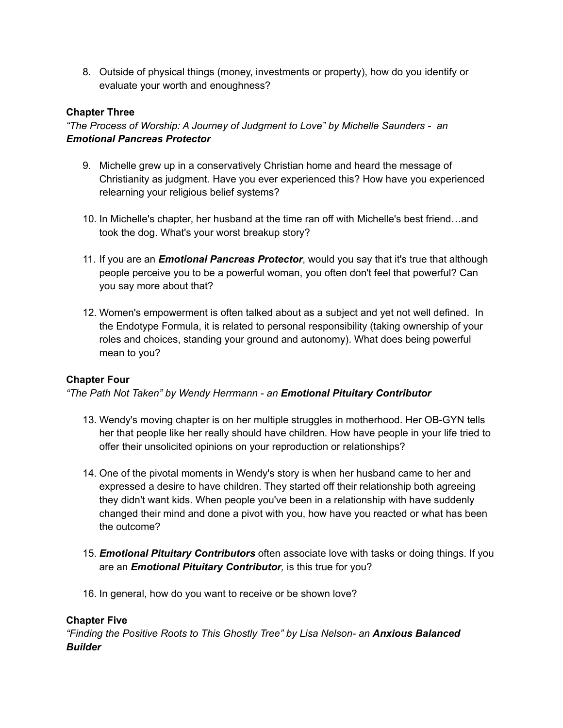8. Outside of physical things (money, investments or property), how do you identify or evaluate your worth and enoughness?

## **Chapter Three**

*"The Process of Worship: A Journey of Judgment to Love" by Michelle Saunders - an Emotional Pancreas Protector*

- 9. Michelle grew up in a conservatively Christian home and heard the message of Christianity as judgment. Have you ever experienced this? How have you experienced relearning your religious belief systems?
- 10. In Michelle's chapter, her husband at the time ran off with Michelle's best friend…and took the dog. What's your worst breakup story?
- 11. If you are an *Emotional Pancreas Protector*, would you say that it's true that although people perceive you to be a powerful woman, you often don't feel that powerful? Can you say more about that?
- 12. Women's empowerment is often talked about as a subject and yet not well defined. In the Endotype Formula, it is related to personal responsibility (taking ownership of your roles and choices, standing your ground and autonomy). What does being powerful mean to you?

## **Chapter Four**

*"The Path Not Taken" by Wendy Herrmann - an Emotional Pituitary Contributor*

- 13. Wendy's moving chapter is on her multiple struggles in motherhood. Her OB-GYN tells her that people like her really should have children. How have people in your life tried to offer their unsolicited opinions on your reproduction or relationships?
- 14. One of the pivotal moments in Wendy's story is when her husband came to her and expressed a desire to have children. They started off their relationship both agreeing they didn't want kids. When people you've been in a relationship with have suddenly changed their mind and done a pivot with you, how have you reacted or what has been the outcome?
- 15. *Emotional Pituitary Contributors* often associate love with tasks or doing things. If you are an *Emotional Pituitary Contributor,* is this true for you?
- 16. In general, how do you want to receive or be shown love?

## **Chapter Five**

*"Finding the Positive Roots to This Ghostly Tree" by Lisa Nelson- an Anxious Balanced Builder*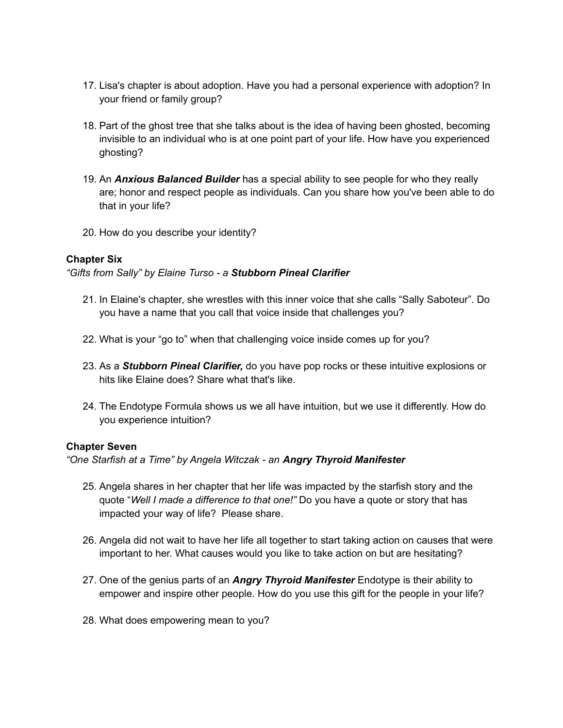- 17. Lisa's chapter is about adoption. Have you had a personal experience with adoption? In your friend or family group?
- 18. Part of the ghost tree that she talks about is the idea of having been ghosted, becoming invisible to an individual who is at one point part of your life. How have you experienced ghosting?
- 19. An *Anxious Balanced Builder* has a special ability to see people for who they really are; honor and respect people as individuals. Can you share how you've been able to do that in your life?
- 20. How do you describe your identity?

#### **Chapter Six**

*"Gifts from Sally" by Elaine Turso - a Stubborn Pineal Clarifier*

- 21. In Elaine's chapter, she wrestles with this inner voice that she calls "Sally Saboteur". Do you have a name that you call that voice inside that challenges you?
- 22. What is your "go to" when that challenging voice inside comes up for you?
- 23. As a *Stubborn Pineal Clarifier,* do you have pop rocks or these intuitive explosions or hits like Elaine does? Share what that's like.
- 24. The Endotype Formula shows us we all have intuition, but we use it differently. How do you experience intuition?

#### **Chapter Seven**

*"One Starfish at a Time" by Angela Witczak - an Angry Thyroid Manifester*

- 25. Angela shares in her chapter that her life was impacted by the starfish story and the quote "*Well I made a difference to that one!"* Do you have a quote or story that has impacted your way of life? Please share.
- 26. Angela did not wait to have her life all together to start taking action on causes that were important to her. What causes would you like to take action on but are hesitating?
- 27. One of the genius parts of an *Angry Thyroid Manifester* Endotype is their ability to empower and inspire other people. How do you use this gift for the people in your life?
- 28. What does empowering mean to you?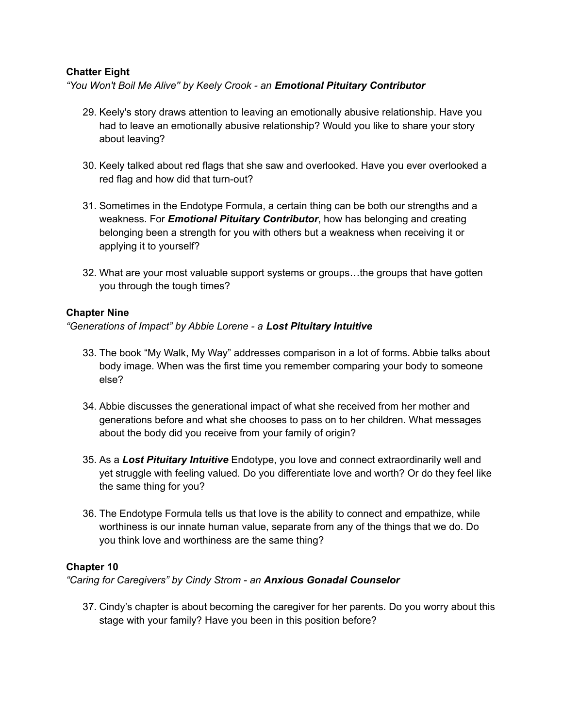## **Chatter Eight**

*"You Won't Boil Me Alive'' by Keely Crook - an Emotional Pituitary Contributor*

- 29. Keely's story draws attention to leaving an emotionally abusive relationship. Have you had to leave an emotionally abusive relationship? Would you like to share your story about leaving?
- 30. Keely talked about red flags that she saw and overlooked. Have you ever overlooked a red flag and how did that turn-out?
- 31. Sometimes in the Endotype Formula, a certain thing can be both our strengths and a weakness. For *Emotional Pituitary Contributor*, how has belonging and creating belonging been a strength for you with others but a weakness when receiving it or applying it to yourself?
- 32. What are your most valuable support systems or groups…the groups that have gotten you through the tough times?

## **Chapter Nine**

*"Generations of Impact" by Abbie Lorene - a Lost Pituitary Intuitive*

- 33. The book "My Walk, My Way" addresses comparison in a lot of forms. Abbie talks about body image. When was the first time you remember comparing your body to someone else?
- 34. Abbie discusses the generational impact of what she received from her mother and generations before and what she chooses to pass on to her children. What messages about the body did you receive from your family of origin?
- 35. As a *Lost Pituitary Intuitive* Endotype, you love and connect extraordinarily well and yet struggle with feeling valued. Do you differentiate love and worth? Or do they feel like the same thing for you?
- 36. The Endotype Formula tells us that love is the ability to connect and empathize, while worthiness is our innate human value, separate from any of the things that we do. Do you think love and worthiness are the same thing?

#### **Chapter 10**

*"Caring for Caregivers" by Cindy Strom - an Anxious Gonadal Counselor*

37. Cindy's chapter is about becoming the caregiver for her parents. Do you worry about this stage with your family? Have you been in this position before?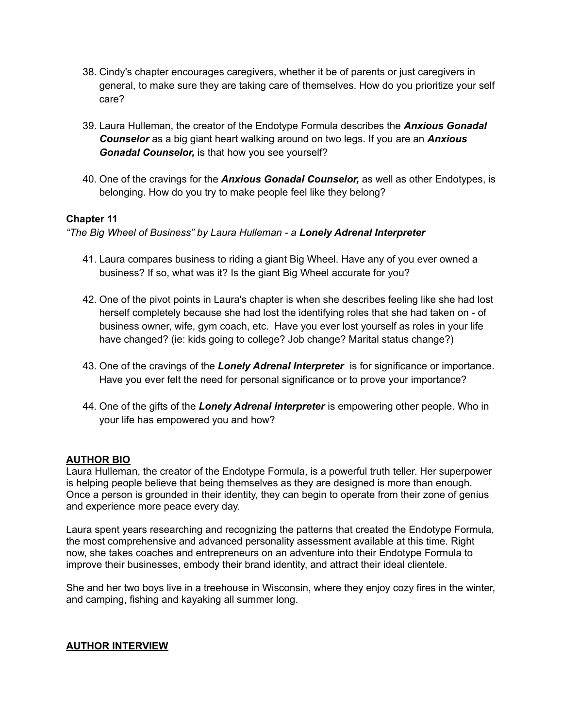- 38. Cindy's chapter encourages caregivers, whether it be of parents or just caregivers in general, to make sure they are taking care of themselves. How do you prioritize your self care?
- 39. Laura Hulleman, the creator of the Endotype Formula describes the *Anxious Gonadal Counselor* as a big giant heart walking around on two legs. If you are an *Anxious Gonadal Counselor,* is that how you see yourself?
- 40. One of the cravings for the *Anxious Gonadal Counselor,* as well as other Endotypes, is belonging. How do you try to make people feel like they belong?

## **Chapter 11**

*"The Big Wheel of Business" by Laura Hulleman - a Lonely Adrenal Interpreter*

- 41. Laura compares business to riding a giant Big Wheel. Have any of you ever owned a business? If so, what was it? Is the giant Big Wheel accurate for you?
- 42. One of the pivot points in Laura's chapter is when she describes feeling like she had lost herself completely because she had lost the identifying roles that she had taken on - of business owner, wife, gym coach, etc. Have you ever lost yourself as roles in your life have changed? (ie: kids going to college? Job change? Marital status change?)
- 43. One of the cravings of the *Lonely Adrenal Interpreter* is for significance or importance. Have you ever felt the need for personal significance or to prove your importance?
- 44. One of the gifts of the *Lonely Adrenal Interpreter* is empowering other people. Who in your life has empowered you and how?

## **AUTHOR BIO**

Laura Hulleman, the creator of the Endotype Formula, is a powerful truth teller. Her superpower is helping people believe that being themselves as they are designed is more than enough. Once a person is grounded in their identity, they can begin to operate from their zone of genius and experience more peace every day.

Laura spent years researching and recognizing the patterns that created the Endotype Formula, the most comprehensive and advanced personality assessment available at this time. Right now, she takes coaches and entrepreneurs on an adventure into their Endotype Formula to improve their businesses, embody their brand identity, and attract their ideal clientele.

She and her two boys live in a treehouse in Wisconsin, where they enjoy cozy fires in the winter, and camping, fishing and kayaking all summer long.

#### **AUTHOR INTERVIEW**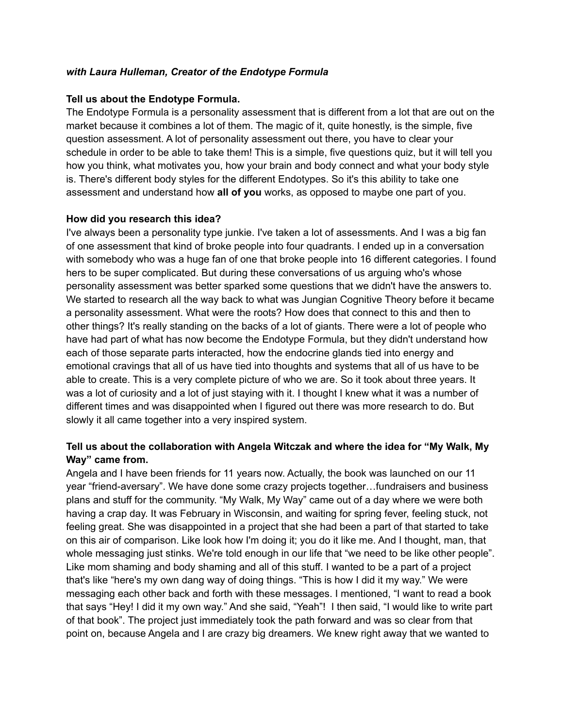#### *with Laura Hulleman, Creator of the Endotype Formula*

#### **Tell us about the Endotype Formula.**

The Endotype Formula is a personality assessment that is different from a lot that are out on the market because it combines a lot of them. The magic of it, quite honestly, is the simple, five question assessment. A lot of personality assessment out there, you have to clear your schedule in order to be able to take them! This is a simple, five questions quiz, but it will tell you how you think, what motivates you, how your brain and body connect and what your body style is. There's different body styles for the different Endotypes. So it's this ability to take one assessment and understand how **all of you** works, as opposed to maybe one part of you.

#### **How did you research this idea?**

I've always been a personality type junkie. I've taken a lot of assessments. And I was a big fan of one assessment that kind of broke people into four quadrants. I ended up in a conversation with somebody who was a huge fan of one that broke people into 16 different categories. I found hers to be super complicated. But during these conversations of us arguing who's whose personality assessment was better sparked some questions that we didn't have the answers to. We started to research all the way back to what was Jungian Cognitive Theory before it became a personality assessment. What were the roots? How does that connect to this and then to other things? It's really standing on the backs of a lot of giants. There were a lot of people who have had part of what has now become the Endotype Formula, but they didn't understand how each of those separate parts interacted, how the endocrine glands tied into energy and emotional cravings that all of us have tied into thoughts and systems that all of us have to be able to create. This is a very complete picture of who we are. So it took about three years. It was a lot of curiosity and a lot of just staying with it. I thought I knew what it was a number of different times and was disappointed when I figured out there was more research to do. But slowly it all came together into a very inspired system.

## **Tell us about the collaboration with Angela Witczak and where the idea for "My Walk, My Way" came from.**

Angela and I have been friends for 11 years now. Actually, the book was launched on our 11 year "friend-aversary". We have done some crazy projects together…fundraisers and business plans and stuff for the community. "My Walk, My Way" came out of a day where we were both having a crap day. It was February in Wisconsin, and waiting for spring fever, feeling stuck, not feeling great. She was disappointed in a project that she had been a part of that started to take on this air of comparison. Like look how I'm doing it; you do it like me. And I thought, man, that whole messaging just stinks. We're told enough in our life that "we need to be like other people". Like mom shaming and body shaming and all of this stuff. I wanted to be a part of a project that's like "here's my own dang way of doing things. "This is how I did it my way." We were messaging each other back and forth with these messages. I mentioned, "I want to read a book that says "Hey! I did it my own way." And she said, "Yeah"! I then said, "I would like to write part of that book". The project just immediately took the path forward and was so clear from that point on, because Angela and I are crazy big dreamers. We knew right away that we wanted to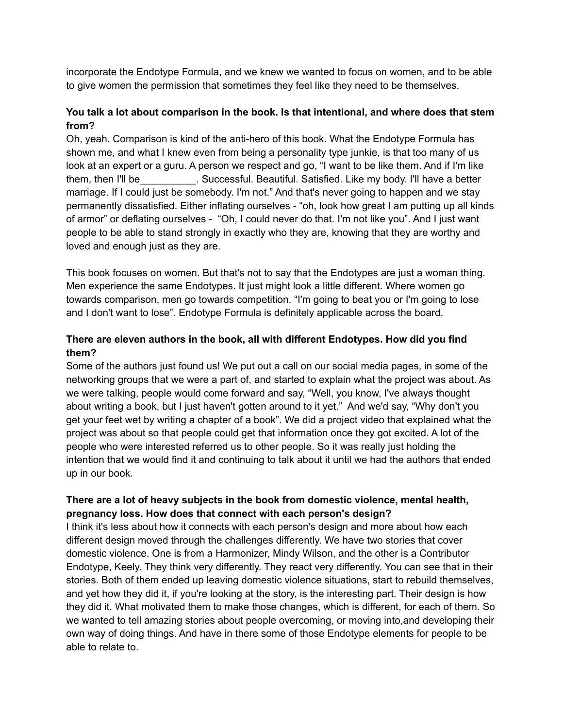incorporate the Endotype Formula, and we knew we wanted to focus on women, and to be able to give women the permission that sometimes they feel like they need to be themselves.

## **You talk a lot about comparison in the book. Is that intentional, and where does that stem from?**

Oh, yeah. Comparison is kind of the anti-hero of this book. What the Endotype Formula has shown me, and what I knew even from being a personality type junkie, is that too many of us look at an expert or a guru. A person we respect and go, "I want to be like them. And if I'm like them, then I'll be\_\_\_\_\_\_\_\_\_\_. Successful. Beautiful. Satisfied. Like my body. I'll have a better marriage. If I could just be somebody. I'm not." And that's never going to happen and we stay permanently dissatisfied. Either inflating ourselves - "oh, look how great I am putting up all kinds of armor" or deflating ourselves - "Oh, I could never do that. I'm not like you". And I just want people to be able to stand strongly in exactly who they are, knowing that they are worthy and loved and enough just as they are.

This book focuses on women. But that's not to say that the Endotypes are just a woman thing. Men experience the same Endotypes. It just might look a little different. Where women go towards comparison, men go towards competition. "I'm going to beat you or I'm going to lose and I don't want to lose". Endotype Formula is definitely applicable across the board.

## **There are eleven authors in the book, all with different Endotypes. How did you find them?**

Some of the authors just found us! We put out a call on our social media pages, in some of the networking groups that we were a part of, and started to explain what the project was about. As we were talking, people would come forward and say, "Well, you know, I've always thought about writing a book, but I just haven't gotten around to it yet." And we'd say, "Why don't you get your feet wet by writing a chapter of a book". We did a project video that explained what the project was about so that people could get that information once they got excited. A lot of the people who were interested referred us to other people. So it was really just holding the intention that we would find it and continuing to talk about it until we had the authors that ended up in our book.

## **There are a lot of heavy subjects in the book from domestic violence, mental health, pregnancy loss. How does that connect with each person's design?**

I think it's less about how it connects with each person's design and more about how each different design moved through the challenges differently. We have two stories that cover domestic violence. One is from a Harmonizer, Mindy Wilson, and the other is a Contributor Endotype, Keely. They think very differently. They react very differently. You can see that in their stories. Both of them ended up leaving domestic violence situations, start to rebuild themselves, and yet how they did it, if you're looking at the story, is the interesting part. Their design is how they did it. What motivated them to make those changes, which is different, for each of them. So we wanted to tell amazing stories about people overcoming, or moving into,and developing their own way of doing things. And have in there some of those Endotype elements for people to be able to relate to.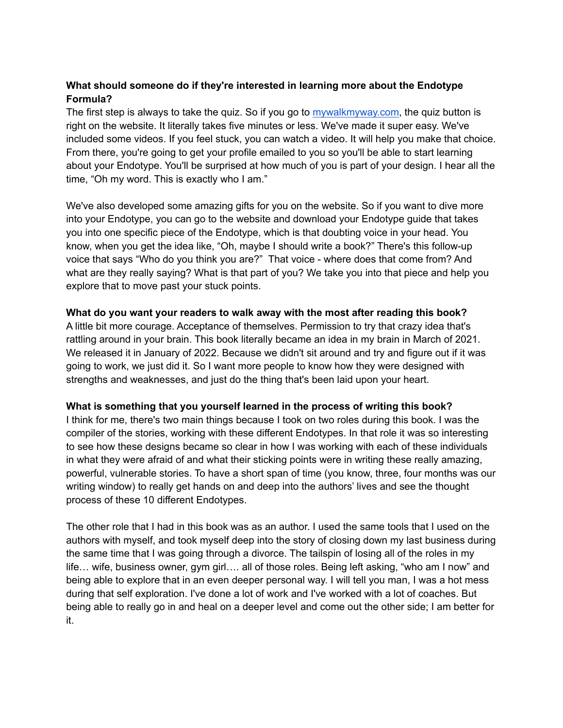## **What should someone do if they're interested in learning more about the Endotype Formula?**

The first step is always to take the quiz. So if you go to [mywalkmyway.com](http://mywalkmyway.com), the quiz button is right on the website. It literally takes five minutes or less. We've made it super easy. We've included some videos. If you feel stuck, you can watch a video. It will help you make that choice. From there, you're going to get your profile emailed to you so you'll be able to start learning about your Endotype. You'll be surprised at how much of you is part of your design. I hear all the time, "Oh my word. This is exactly who I am."

We've also developed some amazing gifts for you on the website. So if you want to dive more into your Endotype, you can go to the website and download your Endotype guide that takes you into one specific piece of the Endotype, which is that doubting voice in your head. You know, when you get the idea like, "Oh, maybe I should write a book?" There's this follow-up voice that says "Who do you think you are?" That voice - where does that come from? And what are they really saying? What is that part of you? We take you into that piece and help you explore that to move past your stuck points.

## **What do you want your readers to walk away with the most after reading this book?**

A little bit more courage. Acceptance of themselves. Permission to try that crazy idea that's rattling around in your brain. This book literally became an idea in my brain in March of 2021. We released it in January of 2022. Because we didn't sit around and try and figure out if it was going to work, we just did it. So I want more people to know how they were designed with strengths and weaknesses, and just do the thing that's been laid upon your heart.

#### **What is something that you yourself learned in the process of writing this book?**

I think for me, there's two main things because I took on two roles during this book. I was the compiler of the stories, working with these different Endotypes. In that role it was so interesting to see how these designs became so clear in how I was working with each of these individuals in what they were afraid of and what their sticking points were in writing these really amazing, powerful, vulnerable stories. To have a short span of time (you know, three, four months was our writing window) to really get hands on and deep into the authors' lives and see the thought process of these 10 different Endotypes.

The other role that I had in this book was as an author. I used the same tools that I used on the authors with myself, and took myself deep into the story of closing down my last business during the same time that I was going through a divorce. The tailspin of losing all of the roles in my life… wife, business owner, gym girl…. all of those roles. Being left asking, "who am I now" and being able to explore that in an even deeper personal way. I will tell you man, I was a hot mess during that self exploration. I've done a lot of work and I've worked with a lot of coaches. But being able to really go in and heal on a deeper level and come out the other side; I am better for it.